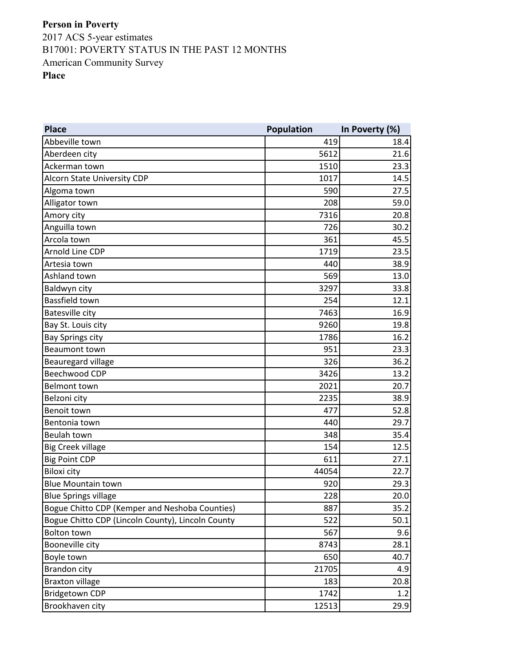| <b>Place</b>                                      | Population | In Poverty (%) |
|---------------------------------------------------|------------|----------------|
| Abbeville town                                    | 419        | 18.4           |
| Aberdeen city                                     | 5612       | 21.6           |
| Ackerman town                                     | 1510       | 23.3           |
| Alcorn State University CDP                       | 1017       | 14.5           |
| Algoma town                                       | 590        | 27.5           |
| Alligator town                                    | 208        | 59.0           |
| Amory city                                        | 7316       | 20.8           |
| Anguilla town                                     | 726        | 30.2           |
| Arcola town                                       | 361        | 45.5           |
| Arnold Line CDP                                   | 1719       | 23.5           |
| Artesia town                                      | 440        | 38.9           |
| Ashland town                                      | 569        | 13.0           |
| Baldwyn city                                      | 3297       | 33.8           |
| Bassfield town                                    | 254        | 12.1           |
| <b>Batesville city</b>                            | 7463       | 16.9           |
| Bay St. Louis city                                | 9260       | 19.8           |
| <b>Bay Springs city</b>                           | 1786       | 16.2           |
| <b>Beaumont town</b>                              | 951        | 23.3           |
| Beauregard village                                | 326        | 36.2           |
| Beechwood CDP                                     | 3426       | 13.2           |
| <b>Belmont town</b>                               | 2021       | 20.7           |
| Belzoni city                                      | 2235       | 38.9           |
| Benoit town                                       | 477        | 52.8           |
| Bentonia town                                     | 440        | 29.7           |
| Beulah town                                       | 348        | 35.4           |
| <b>Big Creek village</b>                          | 154        | 12.5           |
| <b>Big Point CDP</b>                              | 611        | 27.1           |
| <b>Biloxi city</b>                                | 44054      | 22.7           |
| <b>Blue Mountain town</b>                         | 920        | 29.3           |
| <b>Blue Springs village</b>                       | 228        | 20.0           |
| Bogue Chitto CDP (Kemper and Neshoba Counties)    | 887        | 35.2           |
| Bogue Chitto CDP (Lincoln County), Lincoln County | 522        | 50.1           |
| <b>Bolton town</b>                                | 567        | 9.6            |
| Booneville city                                   | 8743       | 28.1           |
| Boyle town                                        | 650        | 40.7           |
| <b>Brandon city</b>                               | 21705      | 4.9            |
| <b>Braxton village</b>                            | 183        | 20.8           |
| <b>Bridgetown CDP</b>                             | 1742       | 1.2            |
| Brookhaven city                                   | 12513      | 29.9           |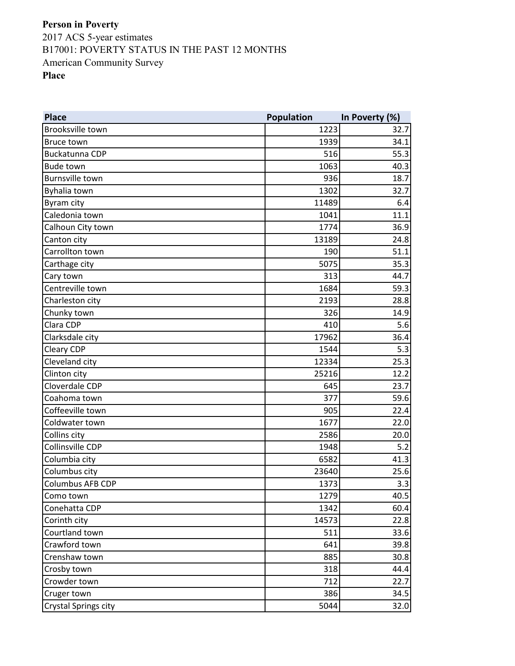**Place Population In Poverty (%)** Brooksville town 32.7 Bruce town 34.1 Buckatunna CDP 55.3 Bude town 1063 and the set of the set of the set of the set of the set of the set of the set of the set of the set of the set of the set of the set of the set of the set of the set of the set of the set of the set of the s Burnsville town 18.7 and 1936 18.7 and 18.7 and 18.7 and 18.7 and 18.7 and 18.7 and 18.7 and 18.7 and 18.7 and 18.7 and 18.7 and 18.7 and 18.7 and 18.7 and 18.7 and 18.7 and 18.7 and 18.7 and 18.7 and 18.7 and 18.7 and 18. Byhalia town 32.7 Byram city 6.4 Caledonia town  $1041$   $11.1$ Calhoun City town 1774 36.9 Canton city 13189 24.8  $C$ arrollton town 51.1 Carthage city **5075** 35.3 Cary town  $\begin{array}{ccccccc} & & & & & \text{313} & & \text{44.7} \end{array}$ Centreville town 1684 59.3 Charleston city 2193 Chunky town  $14.9$ Clara CDP  $\begin{array}{|c|c|c|c|c|c|}\n\hline\n\text{1} & \text{410} & \text{5.6}\n\end{array}$ Clarksdale city and the contract of the contract of the contract of the contract of the contract of the contract of the contract of the contract of the contract of the contract of the contract of the contract of the contra Cleary CDP  $\begin{array}{ccc} & 5.3 & \text{if } 5.3 \\ \hline \end{array}$ Cleveland city  $12334$   $25.3$ Clinton city  $25216$  25216 Cloverdale CDP 645 23.7 Coahoma town 377 59.6 Coffeeville town 22.4 Coldwater town 22.0 Collins city 2586 20.0 Collinsville CDP 5.2 Columbia city 6582 41.3 Columbus city 23640 25.6 Columbus AFB CDP 1373 3.3 Como town  $1279$  and  $40.5$ Conehatta CDP 1342 60.4 Corinth city 14573 22.8  $\text{Courtland town} \quad 33.6$  $C$ rawford town  $\begin{array}{ccc} 39.8 \end{array}$ Crenshaw town 885 30.8 Crosby town  $318$  44.4 Crowder town 712 22.7 Cruger town  $386$ Crystal Springs city **5044** 32.0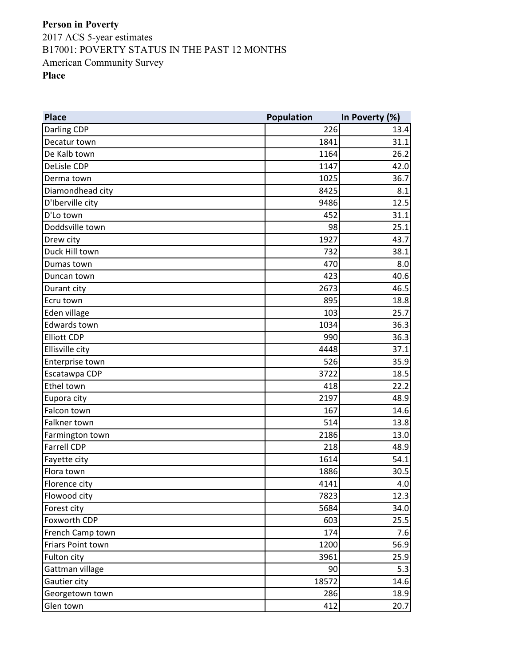**Place Population In Poverty (%)** Darling CDP 226 13.4 Decatur town  $1841$  31.1 De Kalb town 26.2 DeLisle CDP 1147 42.0 Derma town  $1025$  36.7 Diamondhead city 8.1 D'Iberville city and the contract of the contract of the contract of the contract of the contract of the contract of the contract of the contract of the contract of the contract of the contract of the contract of the contr D'Lo town  $\sim$  31.1 Doddsville town 25.1 **Drew city** 1927 **1927** 43.7 Duck Hill town  $\begin{array}{ccc} 38.1 & 38.1 & \end{array}$ Dumas town 3.0 Duncan town 40.6 **Durant city** 2673 **2673** 2673 Ecru town 18.8 Eden village 103 25.7 Edwards town 36.3 Elliott CDP 990 36.3 Ellisville city and the set of the set of the set of the set of the set of the set of the set of the set of the set of the set of the set of the set of the set of the set of the set of the set of the set of the set of the Enterprise town 526 35.9 Escatawpa CDP 3722 2 Ethel town  $22.2$ Eupora city 2197 48.9 Falcon town  $167$  and the set of the set of the set of the set of the set of the set of the set of the set of the set of the set of the set of the set of the set of the set of the set of the set of the set of the set of t Falkner town the control of the control of the control of the control of the control of the control of the control of the control of the control of the control of the control of the control of the control of the control of Farmington town  $\sim$  2186  $\sim$  2186  $\sim$  2186 **Farrell CDP** 48.9 Fayette city  $1614$  54.1 Flora town 30.5 Florence city  $4.0$ Flowood city 7823 12.3 Forest city  $5684$  34.0 Foxworth CDP  $\begin{array}{|c|c|c|c|c|c|}\hline \text{603} & \text{603} \\\hline \end{array}$ French Camp town 174 7.6 Friars Point town 56.9 Fulton city 3961 25.9 Gattman village 6.3 Gautier city 18572 and 18572 Georgetown town 286 **18.9** Glen town 20.7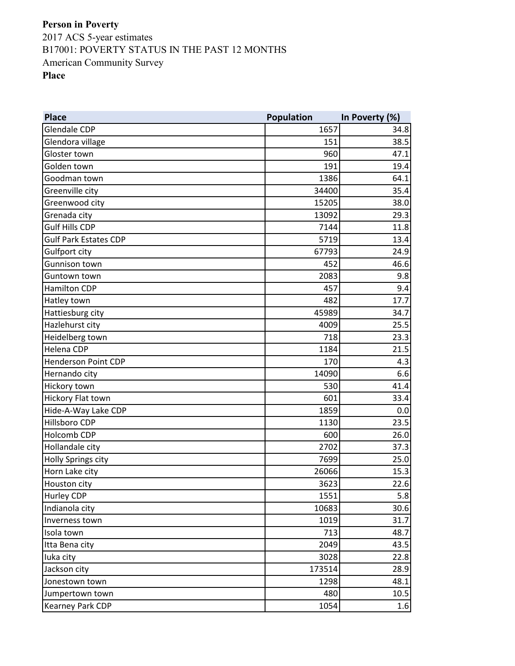**Place Population In Poverty (%)** Glendale CDP 34.8 Glendora village 151 38.5 Gloster town 47.1 Golden town  $191$   $19.4$ Goodman town  $1386$  64.1 Greenville city 35.4 Greenwood city and the state of the state of the state of the state of the state of the state of the state of the state of the state of the state of the state of the state of the state of the state of the state of the stat Grenada city and the control of the control of the control of the control of the control of the control of the control of the control of the control of the control of the control of the control of the control of the contro Gulf Hills CDP  $\begin{array}{|c|c|c|c|c|}\n\hline\n\text{Gulf Hills CDP} & \text{11.8}\n\end{array}$ Gulf Park Estates CDP **5719** 13.4 Gulfport city  $\begin{array}{ccc} 67793 \end{array}$  24.9 Gunnison town 452 46.6 Guntown town 2083 9.8 Hamilton CDP 8.457 9.4 Hatley town  $482$  17.7 Hattiesburg city 45989 34.7 Hazlehurst city 4009 25.5 Heidelberg town 23.3 Helena CDP **1184** 21.5 Henderson Point CDP 170 and the state of the state of the state of the state of the state of the state of the state of the state of the state of the state of the state of the state of the state of the state of the state of Hernando city and the control of the control of the control of the control of the control of the control of the control of the control of the control of the control of the control of the control of the control of the contr Hickory town 530 41.4 Hickory Flat town  $601$  33.4 Hide-A-Way Lake CDP **1859** 0.0 Hillsboro CDP 1130 23.5 Holcomb CDP 600 26.0 Hollandale city 2702 37.3 Holly Springs city **7699** 25.0 Horn Lake city **26066** 15.3 Houston city 3623 22.6 Hurley CDP **1551** 5.8 Indianola city  $10683$  30.6 Inverness town  $1019$  31.7 **Isola town 48.7** 48.7 Itta Bena city 2049 43.5 Iuka city 3028 22.8 Jackson city 173514 28.9 Jonestown town  $1298$  and  $48.1$ Jumpertown town 10.5 and 10.5 and 10.5 and 10.5 and 10.5 and 10.5 and 10.5 and 10.5 and 10.5 and 10.5 and 10.5 Kearney Park CDP 1054 1054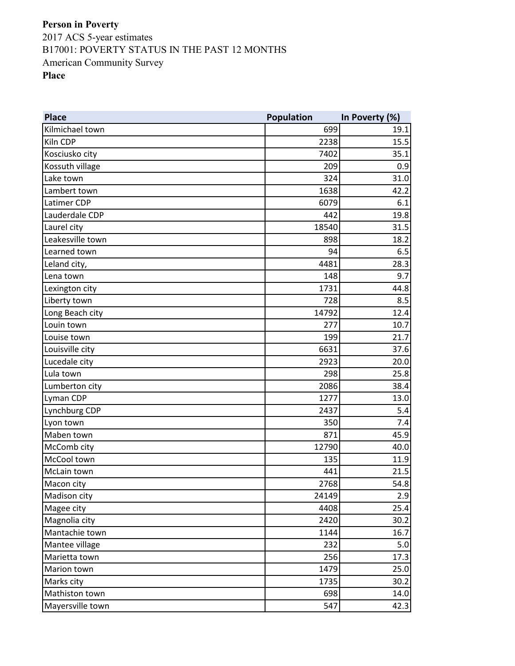**Place Population In Poverty (%)** Kilmichael town 699 19.1 Kiln CDP 2238 2238 2238 Kosciusko city 7402 35.1 Kossuth village and the control of the control of the control of the control of the control of the control of the control of the control of the control of the control of the control of the control of the control of the con Lake town  $324$  31.0 **Lambert town** 42.2 Latimer CDP 6079 6.1 Lauderdale CDP 442 19.8 Laurel city **18540** 31.5 Leakesville town 18.2 Learned town  $\begin{array}{ccc} 6.5 \end{array}$ Leland city,  $\begin{array}{|c|c|c|c|c|}\n\hline\n&4481 & 28.3 \\
\hline\n& & 28.3 & 28.3 & 28.3 & 28.3 & 28.3 & 28.3 & 28.3 & 28.3 & 28.3 & 28.3 & 28.3 & 28.3 & 28.3 & 28.3 & 28.3 & 28.3 & 28.3 & 28.3 & 28.3 & 28.3 & 28.3 & 28.3 & 28.3 & 28.3 & 28.3 & 28.3 & 28.3 & 28.3$ Lena town  $148$  9.7 Lexington city  $1731$  44.8 Liberty town  $\begin{array}{ccc} 8.5 \end{array}$ Long Beach city and the control of the control of the control of the control of the control of the control of t Louin town  $277$  and  $277$  and  $277$  and  $277$  and  $277$  and  $277$  and  $277$  and  $277$  and  $277$  and  $277$  and  $277$  and  $277$  and  $277$  and  $277$  and  $277$  and  $277$  and  $277$  and  $277$  and  $277$  and  $277$  and  $277$  and Louise town  $199$   $21.7$ Louisville city  $\begin{array}{ccc} \text{1} & \text{1} & \text{1} & \text{1} & \text{1} & \text{1} & \text{1} \end{array}$  37.6 Lucedale city 2923 Lula town 298 25.8 Lumberton city **2086** 38.4 **Lyman CDP** 13.0 Lynchburg CDP 2437 5.4 Lyon town 350 7.4 Maben town  $871$  and  $45.9$ McComb city and the combined of the combined of the combined of the combined of the combined of the combined of the combined of the combined of the combined of the combined of the combined of the combined of the combined o McCool town  $135$  11.9 McLain town  $21.5$ Macon city  $2768$  34.8 Madison city **2.9** 2.9 Magee city and the control of the control of the control of the 4408 and 25.4 and 25.4 and 25.4 and 25.4 and 25.4 and 25.4 and 25.4 and 25.4 and 25.4 and 25.4 and 25.4 and 25.4 and 25.4 and 25.4 and 25.4 and 25.4 and 25.4 Magnolia city and a set of the control of the control of the 2420 30.2 Mantachie town 16.7 Mantee village 232 and 232 and 232 and 232 and 232 and 232 and 232 and 232 and 232 and 232 and 25.0  $\sigma$ Marietta town 256 17.3 Marion town 25.0 and the contract of the contract of the contract of the contract of the contract of the contract of the contract of the contract of the contract of the contract of the contract of the contract of the contr Marks city and  $\sim$  1735  $\sim$  30.2 Mathiston town 14.0 Mayersville town 547 and 547 and 547 and 547 and 547 and 547 and 547 and 547 and 547 and 547 and 547 and 547 and 547 and 547 and 547 and 547 and 547 and 547 and 547 and 558 and 558 and 558 and 558 and 558 and 558 and 558 a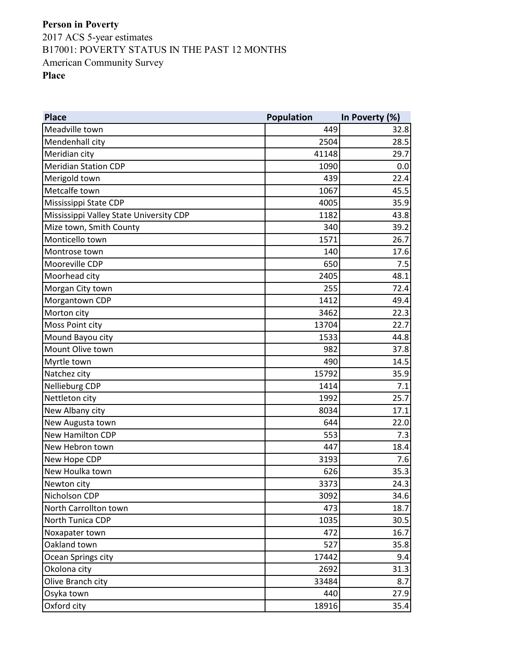| <b>Place</b>                            | Population | In Poverty (%) |
|-----------------------------------------|------------|----------------|
| Meadville town                          | 449        | 32.8           |
| Mendenhall city                         | 2504       | 28.5           |
| Meridian city                           | 41148      | 29.7           |
| <b>Meridian Station CDP</b>             | 1090       | 0.0            |
| Merigold town                           | 439        | 22.4           |
| Metcalfe town                           | 1067       | 45.5           |
| Mississippi State CDP                   | 4005       | 35.9           |
| Mississippi Valley State University CDP | 1182       | 43.8           |
| Mize town, Smith County                 | 340        | 39.2           |
| Monticello town                         | 1571       | 26.7           |
| Montrose town                           | 140        | 17.6           |
| Mooreville CDP                          | 650        | 7.5            |
| Moorhead city                           | 2405       | 48.1           |
| Morgan City town                        | 255        | 72.4           |
| Morgantown CDP                          | 1412       | 49.4           |
| Morton city                             | 3462       | 22.3           |
| Moss Point city                         | 13704      | 22.7           |
| Mound Bayou city                        | 1533       | 44.8           |
| Mount Olive town                        | 982        | 37.8           |
| Myrtle town                             | 490        | 14.5           |
| Natchez city                            | 15792      | 35.9           |
| Nellieburg CDP                          | 1414       | 7.1            |
| Nettleton city                          | 1992       | 25.7           |
| New Albany city                         | 8034       | 17.1           |
| New Augusta town                        | 644        | 22.0           |
| New Hamilton CDP                        | 553        | 7.3            |
| New Hebron town                         | 447        | 18.4           |
| New Hope CDP                            | 3193       | 7.6            |
| New Houlka town                         | 626        | 35.3           |
| Newton city                             | 3373       | 24.3           |
| Nicholson CDP                           | 3092       | 34.6           |
| North Carrollton town                   | 473        | 18.7           |
| North Tunica CDP                        | 1035       | 30.5           |
| Noxapater town                          | 472        | 16.7           |
| Oakland town                            | 527        | 35.8           |
| Ocean Springs city                      | 17442      | 9.4            |
| Okolona city                            | 2692       | 31.3           |
| Olive Branch city                       | 33484      | 8.7            |
| Osyka town                              | 440        | 27.9           |
| Oxford city                             | 18916      | 35.4           |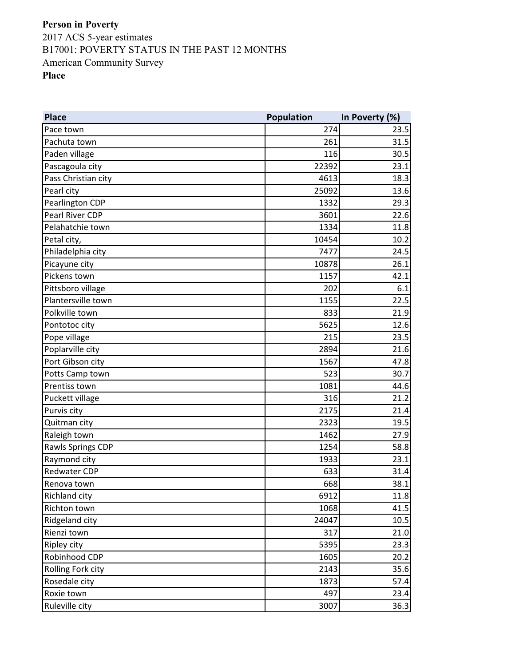**Place Population In Poverty (%)** Pace town 23.5 Pachuta town  $31.5$ Paden village 116 30.5 Pascagoula city 23.1 Pass Christian city **Additional Contract Contract Contract Contract Contract Contract Contract Contract Contract Contract Contract Contract Contract Contract Contract Contract Contract Contract Contract Contract Contract C** Pearl city **25092** 13.6 Pearlington CDP 1332 29.3 Pearl River CDP 3601 22.6 Pelahatchie town 11.8 and the contract of the contract of the contract of the contract of the contract of the contract of the contract of the contract of the contract of the contract of the contract of the contract of the Petal city, 2008 10454 10.2 Philadelphia city and a settlement of the control of the control of the control of the control of the control of the control of the control of the control of the control of the control of the control of the control of the Picayune city and the set of the set of the set of the set of the set of the set of the set of the set of the set of the set of the set of the set of the set of the set of the set of the set of the set of the set of the se Pickens town 1157 and 1157 and 1157 and 1157 and 1157 and 1157 and 1157 and 1157 and 1157 and 1157 and 1157 and 1157 and 1157 and 1157 and 1157 and 1157 and 1157 and 1157 and 1157 and 1157 and 1157 and 1157 and 1157 and 11 Pittsboro village 6.1 by the contract of the contract of the contract of the contract of the contract of the contract of the contract of the contract of the contract of the contract of the contract of the contract of the c Plantersville town 22.5 Polkville town 21.9 Pontotoc city and the set of the set of the set of the set of the set of the set of the set of the set of the set of the set of the set of the set of the set of the set of the set of the set of the set of the set of the se Pope village 23.5 Poplarville city and the contract of the contract of the contract of the contract of the 2894 21.6 Port Gibson city and the set of the set of the set of the set of the set of the set of the set of the set of the set of the set of the set of the set of the set of the set of the set of the set of the set of the set of the Potts Camp town 523 30.7 Prentiss town 1081 and 1081 and 1081 and 1081 and 1081 and 1081 and 1081 and 1081 and 1081 and 1081 and 1081 and 1081 and 1081 and 1081 and 1081 and 1081 and 1081 and 1081 and 1081 and 1081 and 1081 and 1081 and 1081 and 1 Puckett village 21.2 Purvis city 2175 21.4 Quitman city 2323 19.5 Raleigh town 27.9 Rawls Springs CDP 1254 58.8 Raymond city **1933** 23.1 Redwater CDP  $\begin{array}{ccc} 31.4 & 633 \end{array}$ Renova town  $38.1$ Richland city  $6912$  11.8 Richton town 1068 41.5 Ridgeland city and the control of the control of the control of the control of the control of the control of the control of the control of the control of the control of the control of the control of the control of the cont Rienzi town  $317$  21.0 Ripley city 5395 23.3 Robinhood CDP 1605 20.2 Rolling Fork city **2143** 35.6 Rosedale city **1873** 57.4 Roxie town  $\begin{array}{ccc} 23.4 & 23.4 \end{array}$ Ruleville city 36.3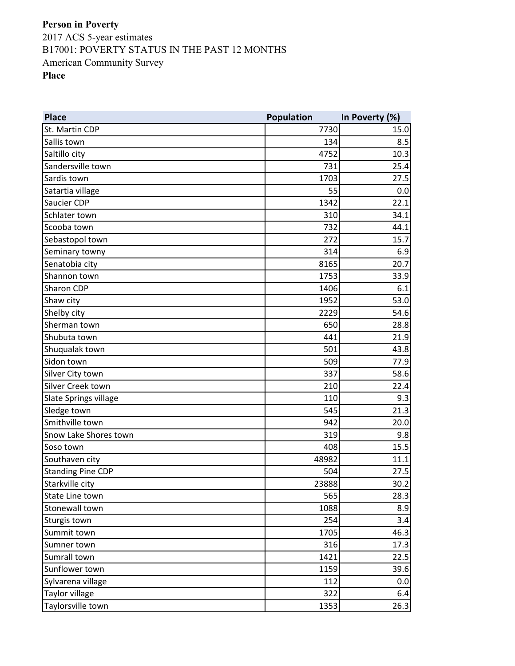**Place Population In Poverty (%)** St. Martin CDP 7730 15.0 Sallis town  $\begin{array}{ccc} \text{S} & \text{S} \end{array}$ Saltillo city **10.3** Sandersville town 731 25.4 Sardis town 1703 27.5 Satartia village and the set of the set of the set of the set of the set of the set of the set of the set of the set of the set of the set of the set of the set of the set of the set of the set of the set of the set of the Saucier CDP 1342 22.1 Schlater town 310 34.1 Scooba town 732 44.1 Sebastopol town 272 15.7 Seminary towny 6.9 and the seminary towny and the seminary towny state of  $\sim$  314 and 5.9 and 5.9 and 5.9 and 5.9 and 5.9 and 5.9 and 5.9 and 5.9 and 5.9 and 5.9 and 5.9 and 5.9 and 5.9 and 5.9 and 5.9 and 5.9 and 5.9 and Senatobia city and a senatobia city and a senatobia city and a senatobia city and a senator  $\overline{a}$  20.7 Shannon town 33.9 Sharon CDP 1406 6.1 Shaw city  $1952$  53.0 Shelby city  $2229$  34.6 Sherman town 28.8 Shubuta town  $\begin{array}{ccc} 21.9 & 21.9 \end{array}$ Shuqualak town 501 and 501 and 501 and 501 and 501 and 501 and 501 and 501 and 501 and 501 and 501 and 501 and Sidon town 509 **77.9** Silver City town 58.6 Silver Creek town 210 22.4 Slate Springs village 110 9.3 Sledge town 545 21.3 Smithville town 942 20.0 Snow Lake Shores town 319 and the Shores town 319 and the Shores of the Shores of the Shores of the Shores of the S Soso town  $15.5$ Southaven city and the settlement of the settlement of the settlement of the settlement of the settlement of t Standing Pine CDP 60 27.5 Starkville city 23888 30.2 State Line town 28.3 Stonewall town 8.9 Sturgis town  $3.4$ Summit town 1705 46.3 Sumner town  $316$   $316$ Sumrall town 1421 22.5 Sunflower town 1159 39.6 Sylvarena village 112 and 112 and 112 and 112 and 112 and 112 and 112 and 112 and 112 and 112 and 112 and 112 and 112 and 112 and 112 and 112 and 112 and 112 and 112 and 112 and 112 and 112 and 112 and 112 and 112 and 112 Taylor village 6.4 Taylorsville town 26.3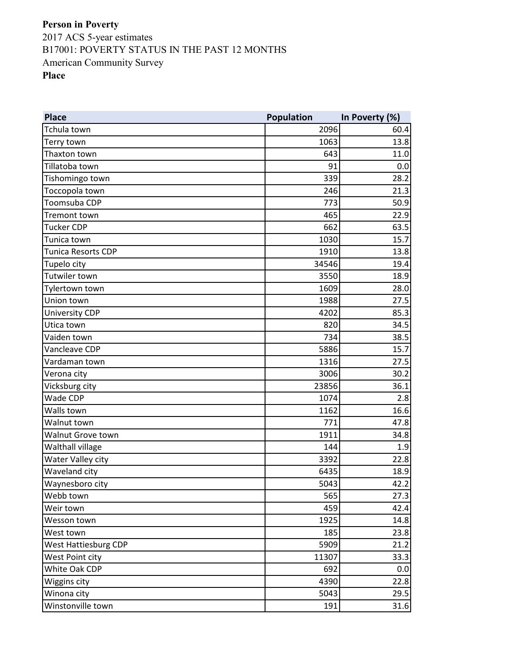**Place Population In Poverty (%)** Tchula town 2096 60.4 Terry town  $1063$  and  $13.8$ Thaxton town  $643$  11.0 Tillatoba town  $91$  0.0 Tishomingo town 339 28.2 Toccopola town 21.3 Toomsuba CDP 773 50.9 Tremont town 465 22.9 Tucker CDP  $662$  63.5 Tunica town 1030 15.7 Tunica Resorts CDP 1910 **13.8** Tupelo city  $\begin{array}{ccc} 34546 & 34546 \end{array}$ Tutwiler town 3550 18.9 Tylertown town 1609 28.0 Union town 1988 27.5 University CDP 85.3 Utica town 34.5 Vaiden town 734 38.5 Vancleave CDP 5886 15.7 Vardaman town 27.5 Verona city 30.2 Vicksburg city  $23856$  36.1 Wade CDP 2.8 Walls town  $1162$  and  $16.6$ Walnut town 771 47.8 Walnut Grove town  $1911$   $34.8$ Walthall village 1.9 Water Valley city 32.8 and 22.8 and 22.8 and 3392 22.8 and 3392 22.8 and 3392 22.8 and 3392 22.8 and 3392 22.8 Waveland city 6435 18.9 Waynesboro city  $\sim$  5043  $\sim$  5043  $\sim$  42.2 Webb town  $\sim$  27.3 Weir town 459 42.4 Wesson town 1925 14.8 West town  $185$  23.8 West Hattiesburg CDP 6909 21.2 West Point city  $11307$   $33.3$ White Oak CDP 692 0.0 Wiggins city 4390 22.8 Winona city  $5043$  29.5 Winstonville town  $191$   $31.6$